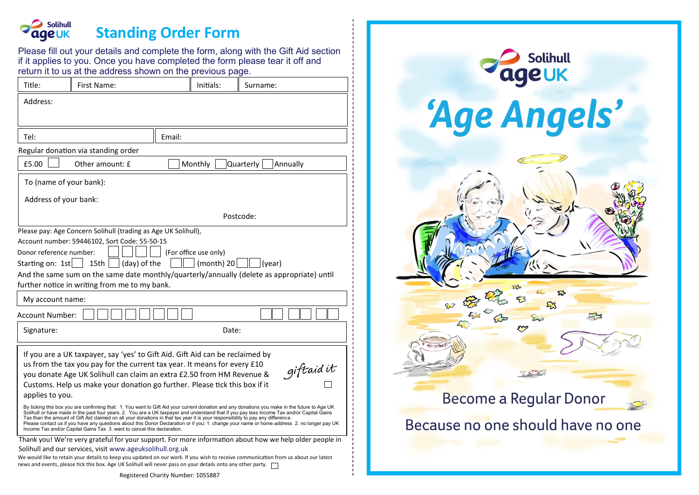#### **Solihull Standing Order Form eUK**

Please fill out your details and complete the form, along with the Gift Aid section if it applies to you. Once you have completed the form please tear it off and return it to us at the address shown on the previous page.

| Title:                                                                                                                                                                                                                                                                                                                                            | First Name: | Initials: | Surname: |
|---------------------------------------------------------------------------------------------------------------------------------------------------------------------------------------------------------------------------------------------------------------------------------------------------------------------------------------------------|-------------|-----------|----------|
| Address:                                                                                                                                                                                                                                                                                                                                          |             |           |          |
|                                                                                                                                                                                                                                                                                                                                                   |             |           |          |
| Email:<br>Tel:                                                                                                                                                                                                                                                                                                                                    |             |           |          |
| Regular donation via standing order                                                                                                                                                                                                                                                                                                               |             |           |          |
| £5.00<br>Other amount: £<br>Monthly<br>Quarterly<br>Annually                                                                                                                                                                                                                                                                                      |             |           |          |
| To (name of your bank):                                                                                                                                                                                                                                                                                                                           |             |           |          |
| Address of your bank:                                                                                                                                                                                                                                                                                                                             |             |           |          |
|                                                                                                                                                                                                                                                                                                                                                   | Postcode:   |           |          |
| Please pay: Age Concern Solihull (trading as Age UK Solihull),<br>Account number: 59446102, Sort Code: 55-50-15<br>Donor reference number:<br>(For office use only)<br>(month) 20 $\parallel$ $ (year)$<br>Starting on: 1st<br>(day) of the<br>15th                                                                                               |             |           |          |
| And the same sum on the same date monthly/quarterly/annually (delete as appropriate) until<br>further notice in writing from me to my bank.                                                                                                                                                                                                       |             |           |          |
| My account name:                                                                                                                                                                                                                                                                                                                                  |             |           |          |
| Account Number:                                                                                                                                                                                                                                                                                                                                   |             |           |          |
| Signature:                                                                                                                                                                                                                                                                                                                                        |             | Date:     |          |
| If you are a UK taxpayer, say 'yes' to Gift Aid. Gift Aid can be reclaimed by<br>us from the tax you pay for the current tax year. It means for every £10<br>giftaid it<br>you donate Age UK Solihull can claim an extra £2.50 from HM Revenue &<br>Customs. Help us make your donation go further. Please tick this box if it<br>applies to you. |             |           |          |
| By ticking this box you are confirming that: 1. You want to Gift Aid your current donation and any donations you make in the future to Age UK Solihull or have made in the past four years. 2. You are a UK taxpayer and under                                                                                                                    |             |           |          |
| Thank you! We're very grateful for your support. For more information about how we help older people in                                                                                                                                                                                                                                           |             |           |          |
| Solihull and our services, visit www.ageuksolihull.org.uk<br>We would like to retain your details to keep you updated on our work. If you wish to receive communication from us about our latest                                                                                                                                                  |             |           |          |
| news and events, please tick this box. Age UK Solihull will never pass on your details onto any other party.                                                                                                                                                                                                                                      |             |           |          |